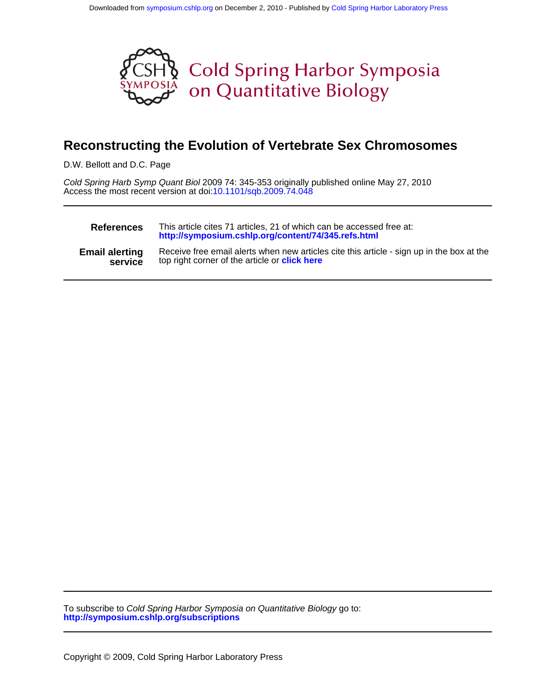

# **Reconstructing the Evolution of Vertebrate Sex Chromosomes**

D.W. Bellott and D.C. Page

Access the most recent version at doi[:10.1101/sqb.2009.74.048](http://symposium.cshlp.org/lookup/doi/10.1101/sqb.2009.74.048) Cold Spring Harb Symp Quant Biol 2009 74: 345-353 originally published online May 27, 2010

| <b>References</b>     | This article cites 71 articles, 21 of which can be accessed free at:<br>http://symposium.cshlp.org/content/74/345.refs.html |
|-----------------------|-----------------------------------------------------------------------------------------------------------------------------|
| <b>Email alerting</b> | Receive free email alerts when new articles cite this article - sign up in the box at the                                   |
| service               | top right corner of the article or <b>click here</b>                                                                        |

**<http://symposium.cshlp.org/subscriptions>** To subscribe to Cold Spring Harbor Symposia on Quantitative Biology go to: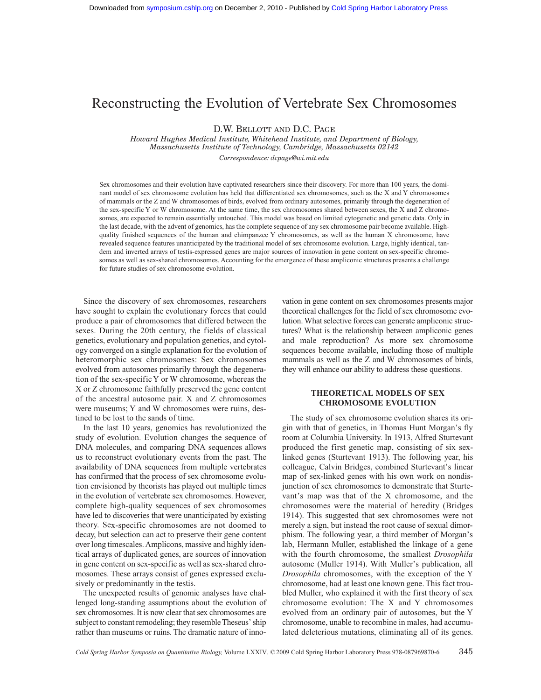# Reconstructing the Evolution of Vertebrate Sex Chromosomes

D.W. BELLOTT AND D.C. PAGE

*Howard Hughes Medical Institute, Whitehead Institute, and Department of Biology, Massachusetts Institute of Technology, Cambridge, Massachusetts 02142*

*Correspondence: dcpage@wi.mit.edu*

Sex chromosomes and their evolution have captivated researchers since their discovery. For more than 100 years, the dominant model of sex chromosome evolution has held that differentiated sex chromosomes, such as the X and Y chromosomes of mammals or the Z and W chromosomes of birds, evolved from ordinary autosomes, primarily through the degeneration of the sex-specific Y or W chromosome. At the same time, the sex chromosomes shared between sexes, the X and Z chromosomes, are expected to remain essentially untouched. This model was based on limited cytogenetic and genetic data. Only in the last decade, with the advent of genomics, has the complete sequence of any sex chromosome pair become available. Highquality finished sequences of the human and chimpanzee Y chromosomes, as well as the human X chromosome, have revealed sequence features unanticipated by the traditional model of sex chromosome evolution. Large, highly identical, tandem and inverted arrays of testis-expressed genes are major sources of innovation in gene content on sex-specific chromosomes as well as sex-shared chromosomes. Accounting for the emergence of these ampliconic structures presents a challenge for future studies of sex chromosome evolution.

Since the discovery of sex chromosomes, researchers have sought to explain the evolutionary forces that could produce a pair of chromosomes that differed between the sexes. During the 20th century, the fields of classical genetics, evolutionary and population genetics, and cytology converged on a single explanation for the evolution of heteromorphic sex chromosomes: Sex chromosomes evolved from autosomes primarily through the degeneration of the sex-specific Y or W chromosome, whereas the X or Z chromosome faithfully preserved the gene content of the ancestral autosome pair. X and Z chromosomes were museums; Y and W chromosomes were ruins, destined to be lost to the sands of time.

In the last 10 years, genomics has revolutionized the study of evolution. Evolution changes the sequence of DNA molecules, and comparing DNA sequences allows us to reconstruct evolutionary events from the past. The availability of DNA sequences from multiple vertebrates has confirmed that the process of sex chromosome evolution envisioned by theorists has played out multiple times in the evolution of vertebrate sex chromosomes. However, complete high-quality sequences of sex chromosomes have led to discoveries that were unanticipated by existing theory. Sex-specific chromosomes are not doomed to decay, but selection can act to preserve their gene content over long timescales. Amplicons, massive and highly identical arrays of duplicated genes, are sources of innovation in gene content on sex-specific as well as sex-shared chromosomes. These arrays consist of genes expressed exclusively or predominantly in the testis.

The unexpected results of genomic analyses have challenged long-standing assumptions about the evolution of sex chromosomes. It is now clear that sex chromosomes are subject to constant remodeling; they resemble Theseus' ship rather than museums or ruins. The dramatic nature of innovation in gene content on sex chromosomes presents major theoretical challenges for the field of sex chromosome evolution. What selective forces can generate ampliconic structures? What is the relationship between ampliconic genes and male reproduction? As more sex chromosome sequences become available, including those of multiple mammals as well as the Z and W chromosomes of birds, they will enhance our ability to address these questions.

#### **THEORETICAL MODELS OF SEX CHROMOSOME EVOLUTION**

The study of sex chromosome evolution shares its origin with that of genetics, in Thomas Hunt Morgan's fly room at Columbia University. In 1913, Alfred Sturtevant produced the first genetic map, consisting of six sexlinked genes (Sturtevant 1913). The following year, his colleague, Calvin Bridges, combined Sturtevant's linear map of sex-linked genes with his own work on nondisjunction of sex chromosomes to demonstrate that Sturtevant's map was that of the X chromosome, and the chromosomes were the material of heredity (Bridges 1914). This suggested that sex chromosomes were not merely a sign, but instead the root cause of sexual dimorphism. The following year, a third member of Morgan's lab, Hermann Muller, established the linkage of a gene with the fourth chromosome, the smallest *Drosophila* autosome (Muller 1914). With Muller's publication, all *Drosophila* chromosomes, with the exception of the Y chromosome, had at least one known gene. This fact troubled Muller, who explained it with the first theory of sex chromosome evolution: The X and Y chromosomes evolved from an ordinary pair of autosomes, but the Y chromosome, unable to recombine in males, had accumulated deleterious mutations, eliminating all of its genes.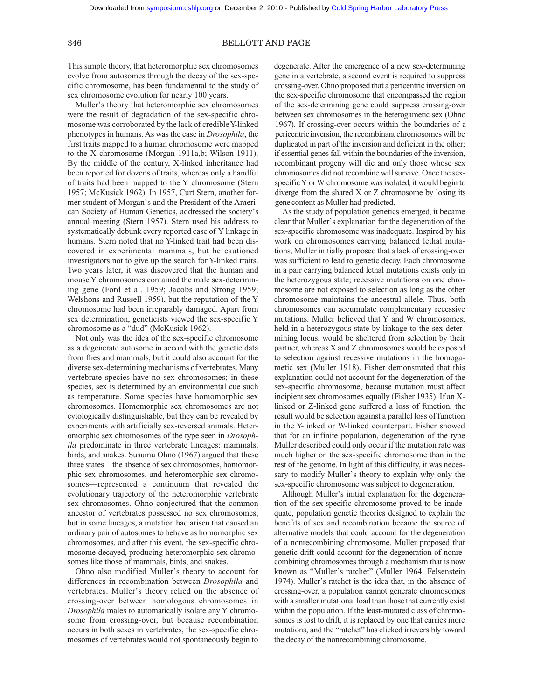This simple theory, that heteromorphic sex chromosomes evolve from autosomes through the decay of the sex-specific chromosome, has been fundamental to the study of sex chromosome evolution for nearly 100 years.

Muller's theory that heteromorphic sex chromosomes were the result of degradation of the sex-specific chromosome was corroborated by the lack of credible Y-linked phenotypes in humans. As was the case in *Drosophila*, the first traits mapped to a human chromosome were mapped to the X chromosome (Morgan 1911a,b; Wilson 1911). By the middle of the century, X-linked inheritance had been reported for dozens of traits, whereas only a handful of traits had been mapped to the Y chromosome (Stern 1957; McKusick 1962). In 1957, Curt Stern, another former student of Morgan's and the President of the American Society of Human Genetics, addressed the society's annual meeting (Stern 1957). Stern used his address to systematically debunk every reported case of Y linkage in humans. Stern noted that no Y-linked trait had been discovered in experimental mammals, but he cautioned investigators not to give up the search for Y-linked traits. Two years later, it was discovered that the human and mouse Y chromosomes contained the male sex-determining gene (Ford et al. 1959; Jacobs and Strong 1959; Welshons and Russell 1959), but the reputation of the Y chromosome had been irreparably damaged. Apart from sex determination, geneticists viewed the sex-specific Y chromosome as a "dud" (McKusick 1962).

Not only was the idea of the sex-specific chromosome as a degenerate autosome in accord with the genetic data from flies and mammals, but it could also account for the diverse sex-determining mechanisms of vertebrates. Many vertebrate species have no sex chromosomes; in these species, sex is determined by an environmental cue such as temperature. Some species have homomorphic sex chromosomes. Homomorphic sex chromosomes are not cytologically distinguishable, but they can be revealed by experiments with artificially sex-reversed animals. Heteromorphic sex chromosomes of the type seen in *Drosophila* predominate in three vertebrate lineages: mammals, birds, and snakes. Susumu Ohno (1967) argued that these three states—the absence of sex chromosomes, homomorphic sex chromosomes, and heteromorphic sex chromosomes—represented a continuum that revealed the evolutionary trajectory of the heteromorphic vertebrate sex chromosomes. Ohno conjectured that the common ancestor of vertebrates possessed no sex chromosomes, but in some lineages, a mutation had arisen that caused an ordinary pair of autosomes to behave as homomorphic sex chromosomes, and after this event, the sex-specific chromosome decayed, producing heteromorphic sex chromosomes like those of mammals, birds, and snakes.

Ohno also modified Muller's theory to account for differences in recombination between *Drosophila* and vertebrates. Muller's theory relied on the absence of crossing-over between homologous chromosomes in *Drosophila* males to automatically isolate any Y chromosome from crossing-over, but because recombination occurs in both sexes in vertebrates, the sex-specific chromosomes of vertebrates would not spontaneously begin to

degenerate. After the emergence of a new sex-determining gene in a vertebrate, a second event is required to suppress crossing-over. Ohno proposed that a pericentric inversion on the sex-specific chromosome that encompassed the region of the sex-determining gene could suppress crossing-over between sex chromosomes in the heterogametic sex (Ohno 1967). If crossing-over occurs within the boundaries of a pericentric inversion, the recombinant chromosomes will be duplicated in part of the inversion and deficient in the other; if essential genes fall within the boundaries of the inversion, recombinant progeny will die and only those whose sex chromosomes did not recombine will survive. Once the sexspecific Y or W chromosome was isolated, it would begin to diverge from the shared X or Z chromosome by losing its gene content as Muller had predicted.

As the study of population genetics emerged, it became clear that Muller's explanation for the degeneration of the sex-specific chromosome was inadequate. Inspired by his work on chromosomes carrying balanced lethal mutations, Muller initially proposed that a lack of crossing-over was sufficient to lead to genetic decay. Each chromosome in a pair carrying balanced lethal mutations exists only in the heterozygous state; recessive mutations on one chromosome are not exposed to selection as long as the other chromosome maintains the ancestral allele. Thus, both chromosomes can accumulate complementary recessive mutations. Muller believed that Y and W chromosomes, held in a heterozygous state by linkage to the sex-determining locus, would be sheltered from selection by their partner, whereas X and Z chromosomes would be exposed to selection against recessive mutations in the homogametic sex (Muller 1918). Fisher demonstrated that this explanation could not account for the degeneration of the sex-specific chromosome, because mutation must affect incipient sex chromosomes equally (Fisher 1935). If an Xlinked or Z-linked gene suffered a loss of function, the result would be selection against a parallel loss of function in the Y-linked or W-linked counterpart. Fisher showed that for an infinite population, degeneration of the type Muller described could only occur if the mutation rate was much higher on the sex-specific chromosome than in the rest of the genome. In light of this difficulty, it was necessary to modify Muller's theory to explain why only the sex-specific chromosome was subject to degeneration.

Although Muller's initial explanation for the degeneration of the sex-specific chromosome proved to be inadequate, population genetic theories designed to explain the benefits of sex and recombination became the source of alternative models that could account for the degeneration of a nonrecombining chromosome. Muller proposed that genetic drift could account for the degeneration of nonrecombining chromosomes through a mechanism that is now known as "Muller's ratchet" (Muller 1964; Felsenstein 1974). Muller's ratchet is the idea that, in the absence of crossing-over, a population cannot generate chromosomes with a smaller mutational load than those that currently exist within the population. If the least-mutated class of chromosomes is lost to drift, it is replaced by one that carries more mutations, and the "ratchet" has clicked irreversibly toward the decay of the nonrecombining chromosome.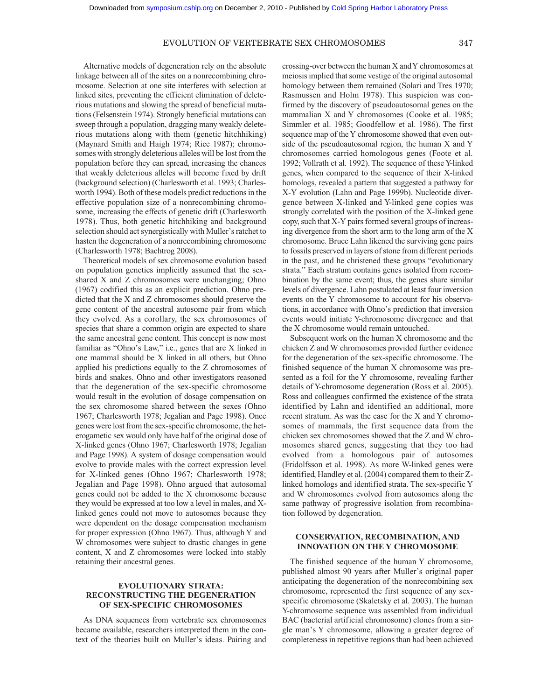Alternative models of degeneration rely on the absolute linkage between all of the sites on a nonrecombining chromosome. Selection at one site interferes with selection at linked sites, preventing the efficient elimination of deleterious mutations and slowing the spread of beneficial mutations (Felsenstein 1974). Strongly beneficial mutations can sweep through a population, dragging many weakly deleterious mutations along with them (genetic hitchhiking) (Maynard Smith and Haigh 1974; Rice 1987); chromosomes with strongly deleterious alleles will be lost from the population before they can spread, increasing the chances that weakly deleterious alleles will become fixed by drift (background selection) (Charlesworth et al. 1993; Charlesworth 1994). Both of these models predict reductions in the effective population size of a nonrecombining chromosome, increasing the effects of genetic drift (Charlesworth 1978). Thus, both genetic hitchhiking and background selection should act synergistically with Muller's ratchet to hasten the degeneration of a nonrecombining chromosome (Charlesworth 1978; Bachtrog 2008).

Theoretical models of sex chromosome evolution based on population genetics implicitly assumed that the sexshared X and Z chromosomes were unchanging; Ohno (1967) codified this as an explicit prediction. Ohno predicted that the X and Z chromosomes should preserve the gene content of the ancestral autosome pair from which they evolved. As a corollary, the sex chromosomes of species that share a common origin are expected to share the same ancestral gene content. This concept is now most familiar as "Ohno's Law," i.e., genes that are X linked in one mammal should be X linked in all others, but Ohno applied his predictions equally to the Z chromosomes of birds and snakes. Ohno and other investigators reasoned that the degeneration of the sex-specific chromosome would result in the evolution of dosage compensation on the sex chromosome shared between the sexes (Ohno 1967; Charlesworth 1978; Jegalian and Page 1998). Once genes were lost from the sex-specific chromosome, the heterogametic sex would only have half of the original dose of X-linked genes (Ohno 1967; Charlesworth 1978; Jegalian and Page 1998). A system of dosage compensation would evolve to provide males with the correct expression level for X-linked genes (Ohno 1967; Charlesworth 1978; Jegalian and Page 1998). Ohno argued that autosomal genes could not be added to the X chromosome because they would be expressed at too low a level in males, and Xlinked genes could not move to autosomes because they were dependent on the dosage compensation mechanism for proper expression (Ohno 1967). Thus, although Y and W chromosomes were subject to drastic changes in gene content, X and Z chromosomes were locked into stably retaining their ancestral genes.

# **EVOLUTIONARY STRATA: RECONSTRUCTING THE DEGENERATION OF SEX-SPECIFIC CHROMOSOMES**

As DNA sequences from vertebrate sex chromosomes became available, researchers interpreted them in the context of the theories built on Muller's ideas. Pairing and crossing-over between the human X and Y chromosomes at meiosis implied that some vestige of the original autosomal homology between them remained (Solari and Tres 1970; Rasmussen and Holm 1978). This suspicion was confirmed by the discovery of pseudoautosomal genes on the mammalian X and Y chromosomes (Cooke et al. 1985; Simmler et al. 1985; Goodfellow et al. 1986). The first sequence map of the Y chromosome showed that even outside of the pseudoautosomal region, the human X and Y chromosomes carried homologous genes (Foote et al. 1992; Vollrath et al. 1992). The sequence of these Y-linked genes, when compared to the sequence of their X-linked homologs, revealed a pattern that suggested a pathway for X-Y evolution (Lahn and Page 1999b). Nucleotide divergence between X-linked and Y-linked gene copies was strongly correlated with the position of the X-linked gene copy, such that X-Y pairs formed several groups of increasing divergence from the short arm to the long arm of the X chromosome. Bruce Lahn likened the surviving gene pairs to fossils preserved in layers of stone from different periods in the past, and he christened these groups "evolutionary strata." Each stratum contains genes isolated from recombination by the same event; thus, the genes share similar levels of divergence. Lahn postulated at least four inversion events on the Y chromosome to account for his observations, in accordance with Ohno's prediction that inversion events would initiate Y-chromosome divergence and that the X chromosome would remain untouched.

Subsequent work on the human X chromosome and the chicken Z and W chromosomes provided further evidence for the degeneration of the sex-specific chromosome. The finished sequence of the human X chromosome was presented as a foil for the Y chromosome, revealing further details of Y-chromosome degeneration (Ross et al. 2005). Ross and colleagues confirmed the existence of the strata identified by Lahn and identified an additional, more recent stratum. As was the case for the X and Y chromosomes of mammals, the first sequence data from the chicken sex chromosomes showed that the Z and W chromosomes shared genes, suggesting that they too had evolved from a homologous pair of autosomes (Fridolfsson et al. 1998). As more W-linked genes were identified, Handley et al. (2004) compared them to their Zlinked homologs and identified strata. The sex-specific Y and W chromosomes evolved from autosomes along the same pathway of progressive isolation from recombination followed by degeneration.

# **CONSERVATION, RECOMBINATION, AND INNOVATION ON THE Y CHROMOSOME**

The finished sequence of the human Y chromosome, published almost 90 years after Muller's original paper anticipating the degeneration of the nonrecombining sex chromosome, represented the first sequence of any sexspecific chromosome (Skaletsky et al. 2003). The human Y-chromosome sequence was assembled from individual BAC (bacterial artificial chromosome) clones from a single man's Y chromosome, allowing a greater degree of completeness in repetitive regions than had been achieved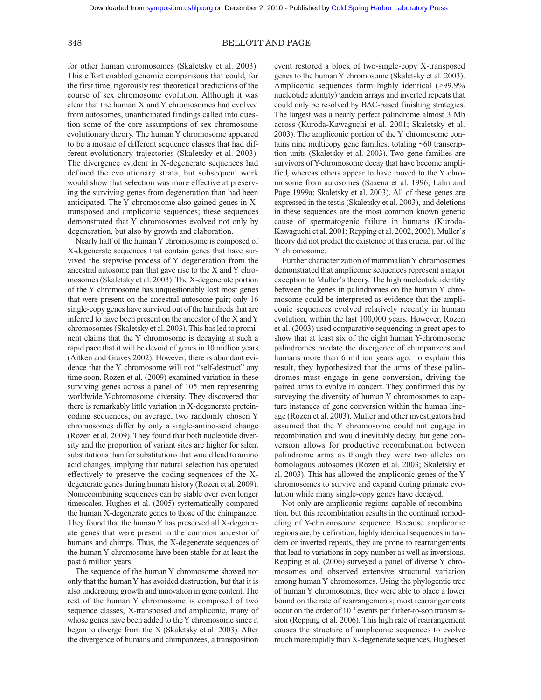for other human chromosomes (Skaletsky et al. 2003). This effort enabled genomic comparisons that could, for the first time, rigorously test theoretical predictions of the course of sex chromosome evolution. Although it was clear that the human X and Y chromosomes had evolved from autosomes, unanticipated findings called into question some of the core assumptions of sex chromosome evolutionary theory. The human Y chromosome appeared to be a mosaic of different sequence classes that had different evolutionary trajectories (Skaletsky et al. 2003). The divergence evident in X-degenerate sequences had defined the evolutionary strata, but subsequent work would show that selection was more effective at preserving the surviving genes from degeneration than had been anticipated. The Y chromosome also gained genes in Xtransposed and ampliconic sequences; these sequences demonstrated that Y chromosomes evolved not only by degeneration, but also by growth and elaboration.

Nearly half of the human Y chromosome is composed of X-degenerate sequences that contain genes that have survived the stepwise process of Y degeneration from the ancestral autosome pair that gave rise to the X and Y chromosomes (Skaletsky et al. 2003). The X-degenerate portion of the Y chromosome has unquestionably lost most genes that were present on the ancestral autosome pair; only 16 single-copy genes have survived out of the hundreds that are inferred to have been present on the ancestor of the X and Y chromosomes (Skaletsky et al. 2003). This has led to prominent claims that the Y chromosome is decaying at such a rapid pace that it will be devoid of genes in 10 million years (Aitken and Graves 2002). However, there is abundant evidence that the Y chromosome will not "self-destruct" any time soon. Rozen et al. (2009) examined variation in these surviving genes across a panel of 105 men representing worldwide Y-chromosome diversity. They discovered that there is remarkably little variation in X-degenerate proteincoding sequences; on average, two randomly chosen Y chromosomes differ by only a single-amino-acid change (Rozen et al. 2009). They found that both nucleotide diversity and the proportion of variant sites are higher for silent substitutions than for substitutions that would lead to amino acid changes, implying that natural selection has operated effectively to preserve the coding sequences of the Xdegenerate genes during human history (Rozen et al. 2009). Nonrecombining sequences can be stable over even longer timescales. Hughes et al. (2005) systematically compared the human X-degenerate genes to those of the chimpanzee. They found that the human Y has preserved all X-degenerate genes that were present in the common ancestor of humans and chimps. Thus, the X-degenerate sequences of the human Y chromosome have been stable for at least the past 6 million years.

The sequence of the human Y chromosome showed not only that the human Y has avoided destruction, but that it is also undergoing growth and innovation in gene content. The rest of the human Y chromosome is composed of two sequence classes, X-transposed and ampliconic, many of whose genes have been added to the Y chromosome since it began to diverge from the X (Skaletsky et al. 2003). After the divergence of humans and chimpanzees, a transposition event restored a block of two-single-copy X-transposed genes to the human Y chromosome (Skaletsky et al. 2003). Ampliconic sequences form highly identical (>99.9% nucleotide identity) tandem arrays and inverted repeats that could only be resolved by BAC-based finishing strategies. The largest was a nearly perfect palindrome almost 3 Mb across (Kuroda-Kawaguchi et al. 2001; Skaletsky et al. 2003). The ampliconic portion of the Y chromosome contains nine multicopy gene families, totaling ~60 transcription units (Skaletsky et al. 2003). Two gene families are survivors of Y-chromosome decay that have become amplified, whereas others appear to have moved to the Y chromosome from autosomes (Saxena et al. 1996; Lahn and Page 1999a; Skaletsky et al. 2003). All of these genes are expressed in the testis (Skaletsky et al. 2003), and deletions in these sequences are the most common known genetic cause of spermatogenic failure in humans (Kuroda-Kawaguchi et al. 2001; Repping et al. 2002, 2003). Muller's theory did not predict the existence of this crucial part of the Y chromosome.

Further characterization of mammalian Y chromosomes demonstrated that ampliconic sequences represent a major exception to Muller's theory. The high nucleotide identity between the genes in palindromes on the human Y chromosome could be interpreted as evidence that the ampliconic sequences evolved relatively recently in human evolution, within the last 100,000 years. However, Rozen et al. (2003) used comparative sequencing in great apes to show that at least six of the eight human Y-chromosome palindromes predate the divergence of chimpanzees and humans more than 6 million years ago. To explain this result, they hypothesized that the arms of these palindromes must engage in gene conversion, driving the paired arms to evolve in concert. They confirmed this by surveying the diversity of human Y chromosomes to capture instances of gene conversion within the human lineage (Rozen et al. 2003). Muller and other investigators had assumed that the Y chromosome could not engage in recombination and would inevitably decay, but gene conversion allows for productive recombination between palindrome arms as though they were two alleles on homologous autosomes (Rozen et al. 2003; Skaletsky et al. 2003). This has allowed the ampliconic genes of the Y chromosomes to survive and expand during primate evolution while many single-copy genes have decayed.

Not only are ampliconic regions capable of recombination, but this recombination results in the continual remodeling of Y-chromosome sequence. Because ampliconic regions are, by definition, highly identical sequences in tandem or inverted repeats, they are prone to rearrangements that lead to variations in copy number as well as inversions. Repping et al. (2006) surveyed a panel of diverse Y chromosomes and observed extensive structural variation among human Y chromosomes. Using the phylogentic tree of human Y chromosomes, they were able to place a lower bound on the rate of rearrangements; most rearrangements occur on the order of 10–4 events per father-to-son transmission (Repping et al. 2006). This high rate of rearrangement causes the structure of ampliconic sequences to evolve much more rapidly than X-degenerate sequences. Hughes et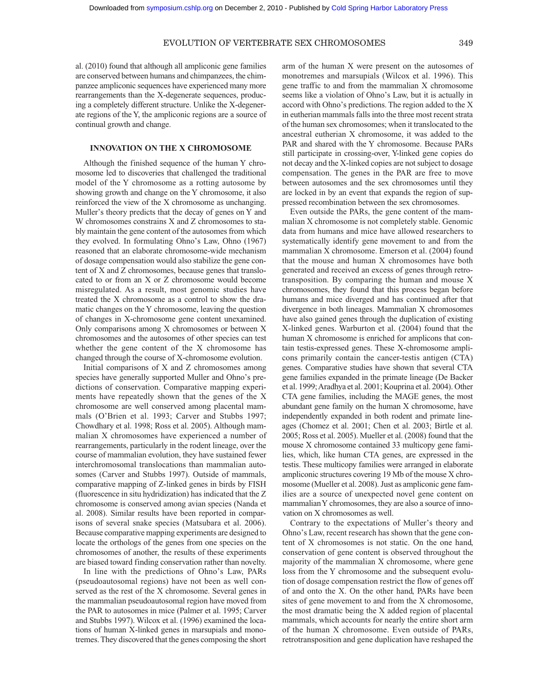al. (2010) found that although all ampliconic gene families are conserved between humans and chimpanzees, the chimpanzee ampliconic sequences have experienced many more rearrangements than the X-degenerate sequences, producing a completely different structure. Unlike the X-degenerate regions of the Y, the ampliconic regions are a source of continual growth and change.

# **INNOVATION ON THE X CHROMOSOME**

Although the finished sequence of the human Y chromosome led to discoveries that challenged the traditional model of the Y chromosome as a rotting autosome by showing growth and change on the Y chromosome, it also reinforced the view of the X chromosome as unchanging. Muller's theory predicts that the decay of genes on Y and W chromosomes constrains X and Z chromosomes to stably maintain the gene content of the autosomes from which they evolved. In formulating Ohno's Law, Ohno (1967) reasoned that an elaborate chromosome-wide mechanism of dosage compensation would also stabilize the gene content of X and Z chromosomes, because genes that translocated to or from an X or Z chromosome would become misregulated. As a result, most genomic studies have treated the X chromosome as a control to show the dramatic changes on the Y chromosome, leaving the question of changes in X-chromosome gene content unexamined. Only comparisons among X chromosomes or between X chromosomes and the autosomes of other species can test whether the gene content of the X chromosome has changed through the course of X-chromosome evolution.

Initial comparisons of X and Z chromosomes among species have generally supported Muller and Ohno's predictions of conservation. Comparative mapping experiments have repeatedly shown that the genes of the X chromosome are well conserved among placental mammals (O'Brien et al. 1993; Carver and Stubbs 1997; Chowdhary et al. 1998; Ross et al. 2005). Although mammalian X chromosomes have experienced a number of rearrangements, particularly in the rodent lineage, over the course of mammalian evolution, they have sustained fewer interchromosomal translocations than mammalian autosomes (Carver and Stubbs 1997). Outside of mammals, comparative mapping of Z-linked genes in birds by FISH (fluorescence in situ hydridization) has indicated that the Z chromosome is conserved among avian species (Nanda et al. 2008). Similar results have been reported in comparisons of several snake species (Matsubara et al. 2006). Because comparative mapping experiments are designed to locate the orthologs of the genes from one species on the chromosomes of another, the results of these experiments are biased toward finding conservation rather than novelty.

In line with the predictions of Ohno's Law, PARs (pseudoautosomal regions) have not been as well conserved as the rest of the X chromosome. Several genes in the mammalian pseudoautosomal region have moved from the PAR to autosomes in mice (Palmer et al. 1995; Carver and Stubbs 1997). Wilcox et al. (1996) examined the locations of human X-linked genes in marsupials and monotremes. They discovered that the genes composing the short arm of the human X were present on the autosomes of monotremes and marsupials (Wilcox et al. 1996). This gene traffic to and from the mammalian X chromosome seems like a violation of Ohno's Law, but it is actually in accord with Ohno's predictions. The region added to the X in eutherian mammals falls into the three most recent strata of the human sex chromosomes; when it translocated to the ancestral eutherian X chromosome, it was added to the PAR and shared with the Y chromosome. Because PARs still participate in crossing-over, Y-linked gene copies do not decay and the X-linked copies are not subject to dosage compensation. The genes in the PAR are free to move between autosomes and the sex chromosomes until they are locked in by an event that expands the region of suppressed recombination between the sex chromosomes.

Even outside the PARs, the gene content of the mammalian X chromosome is not completely stable. Genomic data from humans and mice have allowed researchers to systematically identify gene movement to and from the mammalian X chromosome. Emerson et al. (2004) found that the mouse and human X chromosomes have both generated and received an excess of genes through retrotransposition. By comparing the human and mouse X chromo somes, they found that this process began before humans and mice diverged and has continued after that divergence in both lineages. Mammalian X chromosomes have also gained genes through the duplication of existing X-linked genes. Warburton et al. (2004) found that the human X chromosome is enriched for amplicons that contain testis-expressed genes. These X-chromosome amplicons primarily contain the cancer-testis antigen (CTA) genes. Comparative studies have shown that several CTA gene families expanded in the primate lineage (De Backer et al. 1999; Aradhya et al. 2001; Kouprina et al. 2004). Other CTA gene families, including the MAGE genes, the most abundant gene family on the human X chromosome, have independently expanded in both rodent and primate lineages (Chomez et al. 2001; Chen et al. 2003; Birtle et al. 2005; Ross et al. 2005). Mueller et al. (2008) found that the mouse X chromosome contained 33 multicopy gene families, which, like human CTA genes, are expressed in the testis. These multicopy families were arranged in elaborate ampliconic structures covering 19 Mb of the mouse X chromosome (Mueller et al. 2008). Just as ampliconic gene families are a source of unexpected novel gene content on mammalian Y chromosomes, they are also a source of innovation on X chromosomes as well.

Contrary to the expectations of Muller's theory and Ohno's Law, recent research has shown that the gene content of X chromosomes is not static. On the one hand, conservation of gene content is observed throughout the majority of the mammalian X chromosome, where gene loss from the Y chromosome and the subsequent evolution of dosage compensation restrict the flow of genes off of and onto the X. On the other hand, PARs have been sites of gene movement to and from the X chromosome, the most dramatic being the X added region of placental mammals, which accounts for nearly the entire short arm of the human X chromosome. Even outside of PARs, retrotransposition and gene duplication have reshaped the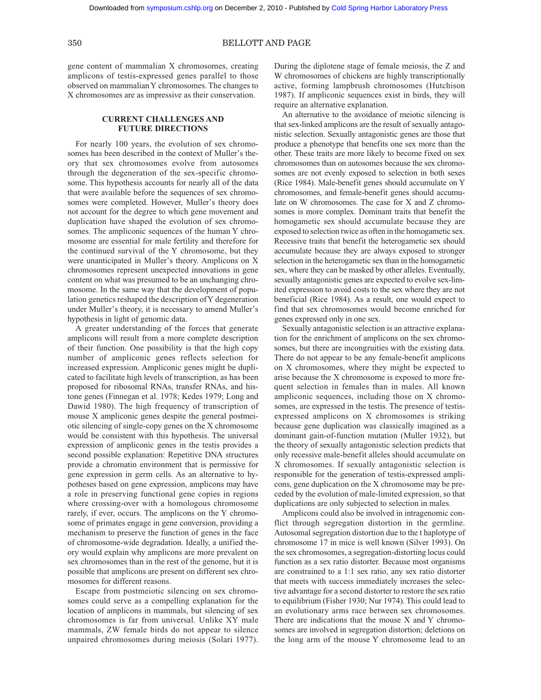gene content of mammalian X chromosomes, creating amplicons of testis-expressed genes parallel to those observed on mammalian Y chromosomes. The changes to X chromosomes are as impressive as their conservation.

### **CURRENT CHALLENGES AND FUTURE DIRECTIONS**

For nearly 100 years, the evolution of sex chromosomes has been described in the context of Muller's theory that sex chromosomes evolve from autosomes through the degeneration of the sex-specific chromosome. This hypothesis accounts for nearly all of the data that were available before the sequences of sex chromosomes were completed. However, Muller's theory does not account for the degree to which gene movement and duplication have shaped the evolution of sex chromosomes. The ampliconic sequences of the human Y chromosome are essential for male fertility and therefore for the continued survival of the Y chromosome, but they were unanticipated in Muller's theory. Amplicons on X chromosomes represent unexpected innovations in gene content on what was presumed to be an unchanging chromosome. In the same way that the development of population genetics reshaped the description of Y degeneration under Muller's theory, it is necessary to amend Muller's hypothesis in light of genomic data.

A greater understanding of the forces that generate amplicons will result from a more complete description of their function. One possibility is that the high copy number of ampliconic genes reflects selection for increased expression. Ampliconic genes might be duplicated to facilitate high levels of transcription, as has been proposed for ribosomal RNAs, transfer RNAs, and histone genes (Finnegan et al. 1978; Kedes 1979; Long and Dawid 1980). The high frequency of transcription of mouse X ampliconic genes despite the general postmeiotic silencing of single-copy genes on the X chromosome would be consistent with this hypothesis. The universal expression of ampliconic genes in the testis provides a second possible explanation: Repetitive DNA structures provide a chromatin environment that is permissive for gene expression in germ cells. As an alternative to hypotheses based on gene expression, amplicons may have a role in preserving functional gene copies in regions where crossing-over with a homologous chromosome rarely, if ever, occurs. The amplicons on the Y chromosome of primates engage in gene conversion, providing a mechanism to preserve the function of genes in the face of chromosome-wide degradation. Ideally, a unified theory would explain why amplicons are more prevalent on sex chromosomes than in the rest of the genome, but it is possible that amplicons are present on different sex chromosomes for different reasons.

Escape from postmeiotic silencing on sex chromosomes could serve as a compelling explanation for the location of amplicons in mammals, but silencing of sex chromosomes is far from universal. Unlike XY male mammals, ZW female birds do not appear to silence unpaired chromosomes during meiosis (Solari 1977). During the diplotene stage of female meiosis, the Z and W chromosomes of chickens are highly transcriptionally active, forming lampbrush chromosomes (Hutchison 1987). If ampliconic sequences exist in birds, they will require an alternative explanation.

An alternative to the avoidance of meiotic silencing is that sex-linked amplicons are the result of sexually antagonistic selection. Sexually antagonistic genes are those that produce a phenotype that benefits one sex more than the other. These traits are more likely to become fixed on sex chromosomes than on autosomes because the sex chromosomes are not evenly exposed to selection in both sexes (Rice 1984). Male-benefit genes should accumulate on Y chromosomes, and female-benefit genes should accumulate on W chromosomes. The case for X and Z chromosomes is more complex. Dominant traits that benefit the homogametic sex should accumulate because they are exposed to selection twice as often in the homogametic sex. Recessive traits that benefit the heterogametic sex should accumulate because they are always exposed to stronger selection in the heterogametic sex than in the homogametic sex, where they can be masked by other alleles. Eventually, sexually antagonistic genes are expected to evolve sex-limited expression to avoid costs to the sex where they are not beneficial (Rice 1984). As a result, one would expect to find that sex chromosomes would become enriched for genes expressed only in one sex.

Sexually antagonistic selection is an attractive explanation for the enrichment of amplicons on the sex chromosomes, but there are incongruities with the existing data. There do not appear to be any female-benefit amplicons on X chromosomes, where they might be expected to arise because the X chromosome is exposed to more frequent selection in females than in males. All known ampliconic sequences, including those on X chromosomes, are expressed in the testis. The presence of testisexpressed amplicons on X chromosomes is striking because gene duplication was classically imagined as a dominant gain-of-function mutation (Muller 1932), but the theory of sexually antagonistic selection predicts that only recessive male-benefit alleles should accumulate on X chromosomes. If sexually antagonistic selection is responsible for the generation of testis-expressed amplicons, gene duplication on the X chromosome may be preceded by the evolution of male-limited expression, so that duplications are only subjected to selection in males.

Amplicons could also be involved in intragenomic conflict through segregation distortion in the germline. Autosomal segregation distortion due to the t haplotype of chromosome 17 in mice is well known (Silver 1993). On the sex chromosomes, a segregation-distorting locus could function as a sex ratio distorter. Because most organisms are constrained to a 1:1 sex ratio, any sex ratio distorter that meets with success immediately increases the selective advantage for a second distorter to restore the sex ratio to equilibrium (Fisher 1930; Nur 1974). This could lead to an evolutionary arms race between sex chromosomes. There are indications that the mouse X and Y chromosomes are involved in segregation distortion; deletions on the long arm of the mouse Y chromosome lead to an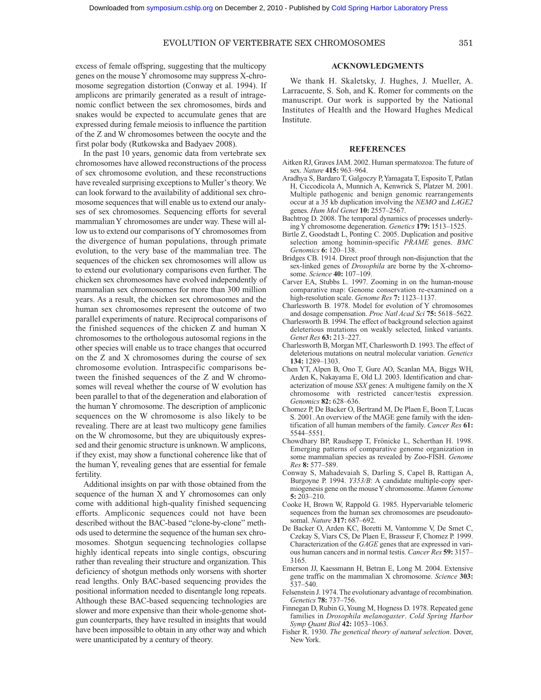excess of female offspring, suggesting that the multicopy genes on the mouse Y chromosome may suppress X-chromosome segregation distortion (Conway et al. 1994). If amplicons are primarily generated as a result of intragenomic conflict between the sex chromosomes, birds and snakes would be expected to accumulate genes that are expressed during female meiosis to influence the partition of the Z and W chromosomes between the oocyte and the first polar body (Rutkowska and Badyaev 2008).

In the past 10 years, genomic data from vertebrate sex chromosomes have allowed reconstructions of the process of sex chromosome evolution, and these reconstructions have revealed surprising exceptions to Muller's theory. We can look forward to the availability of additional sex chromosome sequences that will enable us to extend our analyses of sex chromosomes. Sequencing efforts for several mammalian Y chromosomes are under way. These will allow us to extend our comparisons of Y chromosomes from the divergence of human populations, through primate evolution, to the very base of the mammalian tree. The sequences of the chicken sex chromosomes will allow us to extend our evolutionary comparisons even further. The chicken sex chromosomes have evolved independently of mammalian sex chromosomes for more than 300 million years. As a result, the chicken sex chromosomes and the human sex chromosomes represent the outcome of two parallel experiments of nature. Reciprocal comparisons of the finished sequences of the chicken Z and human X chromosomes to the orthologous autosomal regions in the other species will enable us to trace changes that occurred on the Z and X chromosomes during the course of sex chromosome evolution. Intraspecific comparisons be tween the finished sequences of the Z and W chromosomes will reveal whether the course of W evolution has been parallel to that of the degeneration and elaboration of the human Y chromosome. The description of ampliconic sequences on the W chromosome is also likely to be revealing. There are at least two multicopy gene families on the W chromosome, but they are ubiquitously expressed and their genomic structure is unknown. W amplicons, if they exist, may show a functional coherence like that of the human Y, revealing genes that are essential for female fertility.

Additional insights on par with those obtained from the sequence of the human X and Y chromosomes can only come with additional high-quality finished sequencing efforts. Ampliconic sequences could not have been described without the BAC-based "clone-by-clone" methods used to determine the sequence of the human sex chromosomes. Shotgun sequencing technologies collapse highly identical repeats into single contigs, obscuring rather than revealing their structure and organization. This deficiency of shotgun methods only worsens with shorter read lengths. Only BAC-based sequencing provides the positional information needed to disentangle long repeats. Although these BAC-based sequencing technologies are slower and more expensive than their whole-genome shotgun counterparts, they have resulted in insights that would have been impossible to obtain in any other way and which were unanticipated by a century of theory.

#### **ACKNOWLEDGMENTS**

We thank H. Skaletsky, J. Hughes, J. Mueller, A. Larracuente, S. Soh, and K. Romer for comments on the manuscript. Our work is supported by the National Institutes of Health and the Howard Hughes Medical Institute.

#### **REFERENCES**

- Aitken RJ, Graves JAM. 2002. Human spermatozoa: The future of sex. *Nature* **415:** 963–964.
- Aradhya S, Bardaro T, Galgoczy P, Yamagata T, Esposito T, Patlan H, Ciccodicola A, Munnich A, Kenwrick S, Platzer M. 2001. Multiple pathogenic and benign genomic rearrangements occur at a 35 kb duplication involving the *NEMO* and *LAGE2* genes. *Hum Mol Genet* **10:** 2557–2567.
- Bachtrog D. 2008. The temporal dynamics of processes underlying Y chromosome degeneration. *Genetics* **179:** 1513–1525.
- Birtle Z, Goodstadt L, Ponting C. 2005. Duplication and positive selection among hominin-specific *PRAME* genes. *BMC Genomics* **6:** 120–138.
- Bridges CB. 1914. Direct proof through non-disjunction that the sex-linked genes of *Drosophila* are borne by the X-chromosome. *Science* **40:** 107–109.
- Carver EA, Stubbs L. 1997. Zooming in on the human-mouse comparative map: Genome conservation re-examined on a high-resolution scale. *Genome Res* **7:** 1123–1137.
- Charlesworth B. 1978. Model for evolution of Y chromosomes and dosage compensation. *Proc Natl Acad Sci* **75:** 5618–5622.
- Charlesworth B. 1994. The effect of background selection against deleterious mutations on weakly selected, linked variants. *Genet Res* **63:** 213–227.
- Charlesworth B, Morgan MT, Charlesworth D. 1993. The effect of deleterious mutations on neutral molecular variation. *Genetics* **134:** 1289–1303.
- Chen YT, Alpen B, Ono T, Gure AO, Scanlan MA, Biggs WH, Arden K, Nakayama E, Old LJ. 2003. Identification and characterization of mouse *SSX* genes: A multigene family on the X chromosome with restricted cancer/testis expression. *Genomics* **82:** 628–636.
- Chomez P, De Backer O, Bertrand M, De Plaen E, Boon T, Lucas S. 2001. An overview of the MAGE gene family with the identification of all human members of the family. *Cancer Res* **61:** 5544–5551.
- Chowdhary BP, Raudsepp T, Frönicke L, Scherthan H. 1998. Emerging patterns of comparative genome organization in some mammalian species as revealed by Zoo-FISH. *Genome Res* **8:** 577–589.
- Conway S, Mahadevaiah S, Darling S, Capel B, Rattigan A, Burgoyne P. 1994. *Y353/B*: A candidate multiple-copy spermiogenesis gene on the mouse Y chromosome. Mamm Genome **5:** 203–210.
- Cooke H, Brown W, Rappold G. 1985. Hypervariable telomeric sequences from the human sex chromosomes are pseudoautosomal. *Nature* **317:** 687–692.
- De Backer O, Arden KC, Boretti M, Vantomme V, De Smet C, Czekay S, Viars CS, De Plaen E, Brasseur F, Chomez P. 1999. Characterization of the *GAGE* genes that are expressed in various human cancers and in normal testis. *Cancer Res* **59:** 3157– 3165.
- Emerson JJ, Kaessmann H, Betran E, Long M. 2004. Extensive gene traffic on the mammalian X chromosome. *Science* **303:** 537–540.
- Felsenstein J. 1974. The evolutionary advantage of recombination. *Genetics* **78:** 737–756.
- Finnegan D, Rubin G, Young M, Hogness D. 1978. Repeated gene families in *Drosophila melanogaster*. *Cold Spring Harbor Symp Quant Biol* **42:** 1053–1063.
- Fisher R. 1930. *The genetical theory of natural selection*. Dover, New York.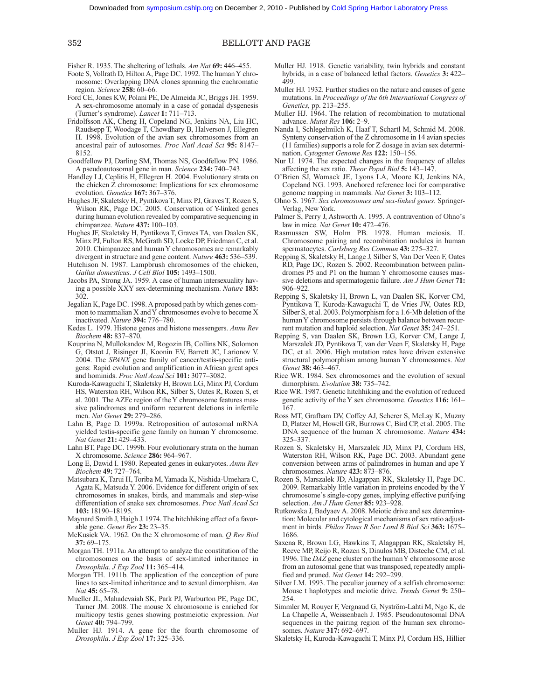Fisher R. 1935. The sheltering of lethals. *Am Nat* **69:** 446–455.

- Foote S, Vollrath D, Hilton A, Page DC. 1992. The human Y chromosome: Overlapping DNA clones spanning the euchromatic region. *Science* **258:** 60–66.
- Ford CE, Jones KW, Polani PE, De Almeida JC, Briggs JH. 1959. A sex-chromosome anomaly in a case of gonadal dysgenesis (Turner's syndrome). *Lancet* **1:** 711–713.
- Fridolfsson AK, Cheng H, Copeland NG, Jenkins NA, Liu HC, Raudsepp T, Woodage T, Chowdhary B, Halverson J, Ellegren H. 1998. Evolution of the avian sex chromosomes from an ancestral pair of autosomes. *Proc Natl Acad Sci* **95:** 8147– 8152.
- Goodfellow PJ, Darling SM, Thomas NS, Goodfellow PN. 1986. A pseudoautosomal gene in man. *Science* **234:** 740–743.
- Handley LJ, Ceplitis H, Ellegren H. 2004. Evolutionary strata on the chicken Z chromosome: Implications for sex chromosome evolution. *Genetics* **167:** 367–376.
- Hughes JF, Skaletsky H, Pyntikova T, Minx PJ, Graves T, Rozen S, Wilson RK, Page DC. 2005. Conservation of Y-linked genes during human evolution revealed by comparative sequencing in chimpanzee. *Nature* **437:** 100–103.
- Hughes JF, Skaletsky H, Pyntikova T, Graves TA, van Daalen SK, Minx PJ, Fulton RS, McGrath SD, Locke DP, Friedman C, et al. 2010. Chimpanzee and human Y chromosomes are remarkably divergent in structure and gene content. *Nature* **463:** 536–539.
- Hutchison N. 1987. Lampbrush chromosomes of the chicken, *Gallus domesticus*. *J Cell Biol* **105:** 1493–1500.
- Jacobs PA, Strong JA. 1959. A case of human intersexuality having a possible XXY sex-determining mechanism. *Nature* **183:** 302.
- Jegalian K, Page DC. 1998. A proposed path by which genes common to mammalian X and Y chromosomes evolve to become X inactivated. *Nature* **394:** 776–780.
- Kedes L. 1979. Histone genes and histone messengers. *Annu Rev Biochem* **48:** 837–870.
- Kouprina N, Mullokandov M, Rogozin IB, Collins NK, Solomon G, Otstot J, Risinger JI, Koonin EV, Barrett JC, Larionov V. 2004. The *SPANX* gene family of cancer/testis-specific antigens: Rapid evolution and amplification in African great apes and hominids. *Proc Natl Acad Sci* **101:** 3077–3082.
- Kuroda-Kawaguchi T, Skaletsky H, Brown LG, Minx PJ, Cordum HS, Waterston RH, Wilson RK, Silber S, Oates R, Rozen S, et al. 2001. The AZFc region of the Y chromosome features massive palindromes and uniform recurrent deletions in infertile men. *Nat Genet* **29:** 279–286.
- Lahn B, Page D. 1999a. Retroposition of autosomal mRNA yielded testis-specific gene family on human Y chromosome. *Nat Genet* **21:** 429–433.
- Lahn BT, Page DC. 1999b. Four evolutionary strata on the human X chromosome. *Science* **286:** 964–967.
- Long E, Dawid I. 1980. Repeated genes in eukaryotes. *Annu Rev Biochem* **49:** 727–764.
- Matsubara K, Tarui H, Toriba M, Yamada K, Nishida-Umehara C, Agata K, Matsuda Y. 2006. Evidence for different origin of sex chromosomes in snakes, birds, and mammals and step-wise differentiation of snake sex chromosomes. *Proc Natl Acad Sci* **103:** 18190–18195.
- Maynard Smith J, Haigh J. 1974. The hitchhiking effect of a favorable gene. *Genet Res* **23:** 23–35.
- McKusick VA. 1962. On the X chromosome of man. *Q Rev Biol* **37:** 69–175.
- Morgan TH. 1911a. An attempt to analyze the constitution of the chromosomes on the basis of sex-limited inheritance in *Drosophila*. *J Exp Zool* **11:** 365–414.
- Morgan TH. 1911b. The application of the conception of pure lines to sex-limited inheritance and to sexual dimorphism. *Am Nat* **45:** 65–78.
- Mueller JL, Mahadevaiah SK, Park PJ, Warburton PE, Page DC, Turner JM. 2008. The mouse X chromosome is enriched for multicopy testis genes showing postmeiotic expression. *Nat Genet* **40:** 794–799.
- Muller HJ. 1914. A gene for the fourth chromosome of *Drosophila*. *J Exp Zool* **17:** 325–336.
- Muller HJ. 1918. Genetic variability, twin hybrids and constant hybrids, in a case of balanced lethal factors. *Genetics* **3:** 422– 499.
- Muller HJ. 1932. Further studies on the nature and causes of gene mutations. In *Proceedings of the 6th International Congress of Genetics,* pp. 213–255.
- Muller HJ. 1964. The relation of recombination to mutational advance. *Mutat Res* **106:** 2–9.
- Nanda I, Schlegelmilch K, Haaf T, Schartl M, Schmid M. 2008. Synteny conservation of the Z chromosome in 14 avian species (11 families) supports a role for Z dosage in avian sex determination. *Cytogenet Genome Res* **122:** 150–156.
- Nur U. 1974. The expected changes in the frequency of alleles affecting the sex ratio. *Theor Popul Biol* **5:** 143–147.
- O'Brien SJ, Womack JE, Lyons LA, Moore KJ, Jenkins NA, Copeland NG. 1993. Anchored reference loci for comparative genome mapping in mammals. *Nat Genet* **3:** 103–112.
- Ohno S. 1967. *Sex chromosomes and sex-linked genes*. Springer-Verlag, New York.
- Palmer S, Perry J, Ashworth A. 1995. A contravention of Ohno's law in mice. *Nat Genet* **10:** 472–476.
- Rasmussen SW, Holm PB. 1978. Human meiosis. II. Chromosome pairing and recombination nodules in human spermatocytes. *Carlsberg Res Commun* **43:** 275–327.
- Repping S, Skaletsky H, Lange J, Silber S, Van Der Veen F, Oates RD, Page DC, Rozen S. 2002. Recombination between palindromes P5 and P1 on the human Y chromosome causes massive deletions and spermatogenic failure. *Am J Hum Genet* **71:** 906–922.
- Repping S, Skaletsky H, Brown L, van Daalen SK, Korver CM, Pyntikova T, Kuroda-Kawaguchi T, de Vries JW, Oates RD, Silber S, et al. 2003. Polymorphism for a 1.6-Mb deletion of the human Y chromosome persists through balance between recurrent mutation and haploid selection. *Nat Genet* **35:** 247–251.
- Repping S, van Daalen SK, Brown LG, Korver CM, Lange J, Marszalek JD, Pyntikova T, van der Veen F, Skaletsky H, Page DC, et al. 2006. High mutation rates have driven extensive structural polymorphism among human Y chromosomes. *Nat Genet* **38:** 463–467.
- Rice WR. 1984. Sex chromosomes and the evolution of sexual dimorphism. *Evolution* **38:** 735–742.
- Rice WR. 1987. Genetic hitchhiking and the evolution of reduced genetic activity of the Y sex chromosome. *Genetics* **116:** 161– 167.
- Ross MT, Grafham DV, Coffey AJ, Scherer S, McLay K, Muzny D, Platzer M, Howell GR, Burrows C, Bird CP, et al. 2005. The DNA sequence of the human X chromosome. *Nature* **434:** 325–337.
- Rozen S, Skaletsky H, Marszalek JD, Minx PJ, Cordum HS, Waterston RH, Wilson RK, Page DC. 2003. Abundant gene conversion between arms of palindromes in human and ape Y chromosomes. *Nature* **423:** 873–876.
- Rozen S, Marszalek JD, Alagappan RK, Skaletsky H, Page DC. 2009. Remarkably little variation in proteins encoded by the Y chromosome's single-copy genes, implying effective purifying selection. *Am J Hum Genet* **85:** 923–928.
- Rutkowska J, Badyaev A. 2008. Meiotic drive and sex determination: Molecular and cytological mechanisms of sex ratio adjustment in birds. *Philos Trans R Soc Lond B Biol Sci* **363:** 1675– 1686.
- Saxena R, Brown LG, Hawkins T, Alagappan RK, Skaletsky H, Reeve MP, Reijo R, Rozen S, Dinulos MB, Disteche CM, et al. 1996. The *DAZ* gene cluster on the human Y chromosome arose from an autosomal gene that was transposed, repeatedly amplified and pruned. *Nat Genet* **14:** 292–299.
- Silver LM. 1993. The peculiar journey of a selfish chromosome: Mouse t haplotypes and meiotic drive. *Trends Genet* **9:** 250– 254.
- Simmler M, Rouyer F, Vergnaud G, Nyström-Lahti M, Ngo K, de La Chapelle A, Weissenbach J. 1985. Pseudoautosomal DNA sequences in the pairing region of the human sex chromosomes. *Nature* **317:** 692–697.
- Skaletsky H, Kuroda-Kawaguchi T, Minx PJ, Cordum HS, Hillier